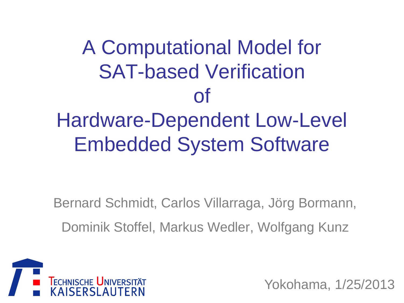A Computational Model for SAT-based Verification of Hardware-Dependent Low-Level Embedded System Software

Bernard Schmidt, Carlos Villarraga, Jörg Bormann, Dominik Stoffel, Markus Wedler, Wolfgang Kunz



Yokohama, 1/25/2013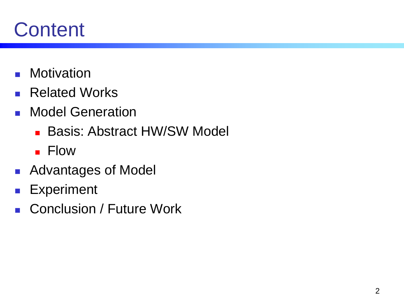# **Content**

- **Motivation**
- **Related Works**
- **Nodel Generation** 
	- **Basis: Abstract HW/SW Model**
	- **Flow**
- **Advantages of Model**
- **Experiment**
- Conclusion / Future Work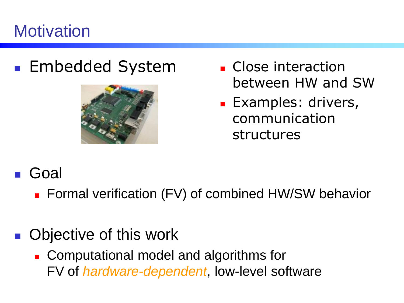## **Motivation**

### **Embedded System Close interaction**



- between HW and SW
- **Examples: drivers,** communication structures

#### Goal

**Formal verification (FV) of combined HW/SW behavior** 

### ■ Objective of this work

**EXCOMPUTATIONAL MODEL AND ALGORATION COMPUTATION** FV of *hardware-dependent*, low-level software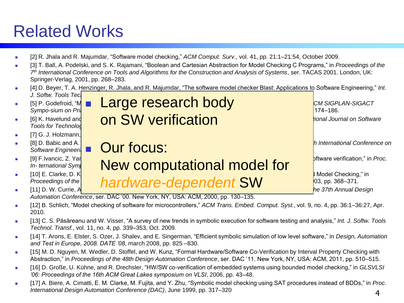## Related Works

- [2] R. Jhala and R. Majumdar, "Software model checking," *ACM Comput. Surv.*, vol. 41, pp. 21:1–21:54, October 2009.
- [3] T. Ball, A. Podelski, and S. K. Rajamani, "Boolean and Cartesian Abstraction for Model Checking C Programs," in *Proceedings of the 7 th International Conference on Tools and Algorithms for the Construction and Analysis of Systems*, ser. TACAS 2001. London, UK: Springer-Verlag, 2001, pp. 268–283.
- [4] D. Beyer, T. A. Henzinger, R. Jhala, and R. Majumdar, "The software model checker Blast: Applications to Software Engineering," *Int. J. Softw. Tools Technol. J. Softw. Tools Technol*
- -
	- [7] G. J. Holzmann,
	-
	-
	-
- France Checking for Programming Language **Language is a set of the 24th ACM SIGPLAN-SIGACT in a set of the 24th ACM SIGPLAN-SIGACT** *Sympo-sium* on Principles of Programming Programming Languages of Programming Languages, NY, 1997, 174–186. **Example 3 And Thomas Pressure Checking Checking Thomas Programs Programs Programs Programs Programs Using Archivare Programs Programs Programs Programs Programs Using Java PathFinder, 2013, 1979, 1979, 1979, 1979, 1979, 1** *IS] K. Havelund and* **ON SW verification F.** [8] D. Babic and A. **J. Hu, S. Hu, T. Hu, S. Hu, S. Hu, S. Hu, S. Hu, International Conference on** *p. In International Conference on Software Engineeri*  $\blacksquare$  **Our focus:** According to the series of the series of the series of the series of the series of the series of the series of the series of the series of the series of the series of the series o **Example 19** F.Ivancic, Z. Yang, M. Gupta, A. Gupta, A. Gupta, A. Gupta, A. Gupta, P. Ashar, "Efficient SATased bounded model checking for software verification," in *Proc.*  $\overline{A}$ *In- ternational Symposium on Levera Computational model for* [10] E. Clarke, D. K**roening, and K. Yorav, "Behavioral consistency of C and Verilog programs using Bounded Model Checking**," in *Proceedings of the*  $\blacksquare$  *hard Mare-denendent* SW *Proceedings of the hardware-dependent SW 03, pp. 368–371.*<br> **111** D. W. Currie, A. **D. Annual Design** *he 37th Annual Design*

*Automation Conference*, ser. DAC '00. New York, NY, USA: ACM, 2000, pp. 130–135.

- [12] B. Schlich, "Model checking of software for microcontrollers," *ACM Trans. Embed. Comput. Syst.*, vol. 9, no. 4, pp. 36:1–36:27, Apr. 2010.
- [13] C. S. Păsăreanu and W. Visser, "A survey of new trends in symbolic execution for software testing and analysis," *Int. J. Softw. Tools Technol. Transf.*, vol. 11, no. 4, pp. 339–353, Oct. 2009.
- [14] T. Arons, E. Elster, S. Ozer, J. Shalev, and E. Singerman, "Efficient symbolic simulation of low level software," in *Design, Automation and Test in Europe, 2008. DATE '08*, march 2008, pp. 825 –830.
- [15] M. D. Nguyen, M. Wedler, D. Stoffel, and W. Kunz, "Formal Hardware/Software Co-Verification by Interval Property Checking with Abstraction," in *Proceedings of the 48th Design Automation Conference*, ser. DAC '11. New York, NY, USA: ACM, 2011, pp. 510–515.
- [16] D. Große, U. Kühne, and R. Drechsler, "HW/SW co-verification of embedded systems using bounded model checking," in *GLSVLSI '06: Proceedings of the 16th ACM Great Lakes symposium on VLSI*, 2006, pp. 43–48.
- [17] A. Biere, A. Cimatti, E. M. Clarke, M. Fujita, and Y. Zhu, "Symbolic model checking using SAT procedures instead of BDDs," in *Proc. International Design Automation Conference (DAC)*, June 1999, pp. 317–320 4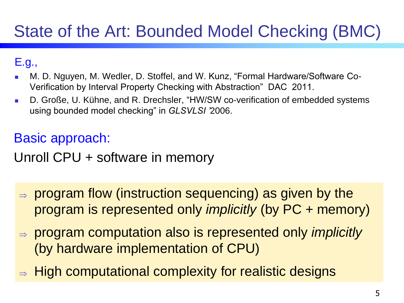# State of the Art: Bounded Model Checking (BMC)

#### E.g.,

- M. D. Nguyen, M. Wedler, D. Stoffel, and W. Kunz, "Formal Hardware/Software Co-Verification by Interval Property Checking with Abstraction" DAC 2011.
- D. Große, U. Kühne, and R. Drechsler, "HW/SW co-verification of embedded systems using bounded model checking" in *GLSVLSI '*2006.

#### Basic approach:

#### Unroll CPU + software in memory

- $\Rightarrow$  program flow (instruction sequencing) as given by the program is represented only *implicitly* (by PC + memory)
- program computation also is represented only *implicitly* (by hardware implementation of CPU)
- $\Rightarrow$  High computational complexity for realistic designs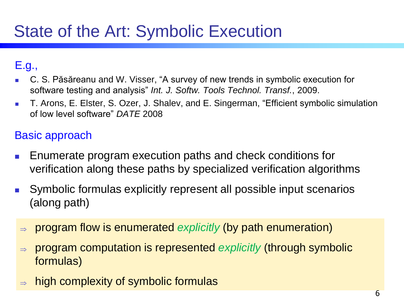#### E.g.,

- C. S. Păsăreanu and W. Visser, "A survey of new trends in symbolic execution for software testing and analysis" *Int. J. Softw. Tools Technol. Transf.*, 2009.
- **T.** T. Arons, E. Elster, S. Ozer, J. Shalev, and E. Singerman, "Efficient symbolic simulation of low level software" *DATE* 2008

#### Basic approach

- Enumerate program execution paths and check conditions for verification along these paths by specialized verification algorithms
- Symbolic formulas explicitly represent all possible input scenarios (along path)
- program flow is enumerated *explicitly* (by path enumeration)
- program computation is represented *explicitly* (through symbolic formulas)
- high complexity of symbolic formulas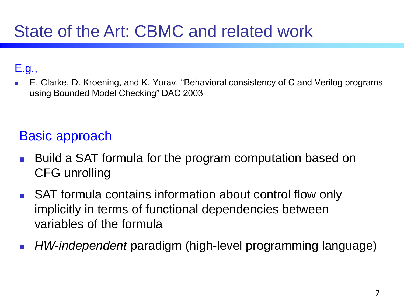#### E.g.,

 E. Clarke, D. Kroening, and K. Yorav, "Behavioral consistency of C and Verilog programs using Bounded Model Checking" DAC 2003

#### Basic approach

- Build a SAT formula for the program computation based on CFG unrolling
- SAT formula contains information about control flow only implicitly in terms of functional dependencies between variables of the formula
- *HW-independent* paradigm (high-level programming language)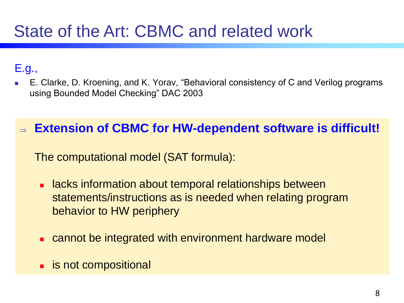## State of the Art: CBMC and related work

#### E.g.,

 E. Clarke, D. Kroening, and K. Yorav, "Behavioral consistency of C and Verilog programs using Bounded Model Checking" DAC 2003

#### **Extension of CBMC for HW-dependent software is difficult!**

The computational model (SAT formula):

- **EXTERNITHE Internation about temporal relationships between** statements/instructions as is needed when relating program behavior to HW periphery
- cannot be integrated with environment hardware model
- **E** is not compositional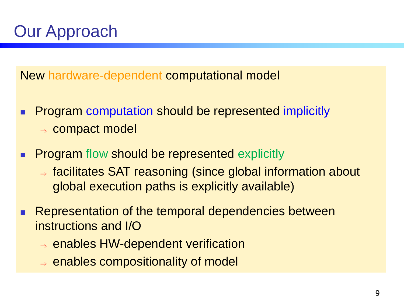# Our Approach

New hardware-dependent computational model

- **Program computation should be represented implicitly**  $\Rightarrow$  compact model
- **Program flow should be represented explicitly** 
	- $\Rightarrow$  facilitates SAT reasoning (since global information about global execution paths is explicitly available)
- Representation of the temporal dependencies between instructions and I/O
	- $\Rightarrow$  enables HW-dependent verification
	- $\Rightarrow$  enables compositionality of model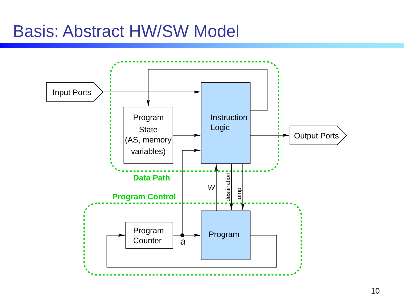### Basis: Abstract HW/SW Model

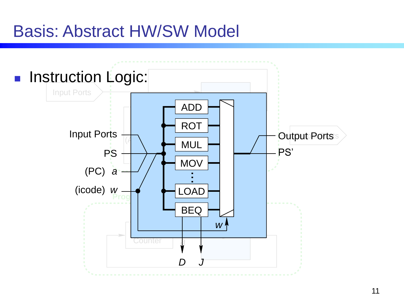### Basis: Abstract HW/SW Model

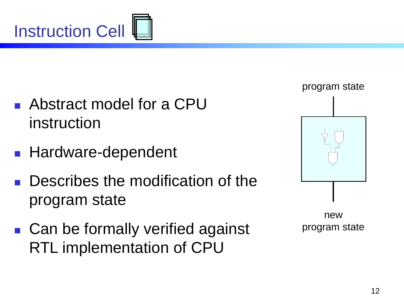

- Abstract model for a CPU instruction
- **Hardware-dependent**
- **Describes the modification of the** program state
- Can be formally verified against RTL implementation of CPU



new program state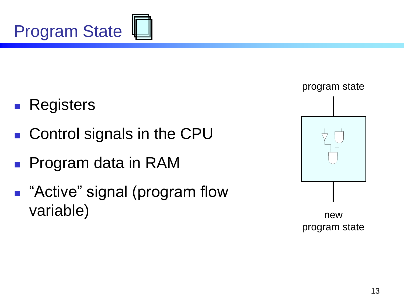

- **Registers**
- Control signals in the CPU
- Program data in RAM
- **B** "Active" signal (program flow variable)



new program state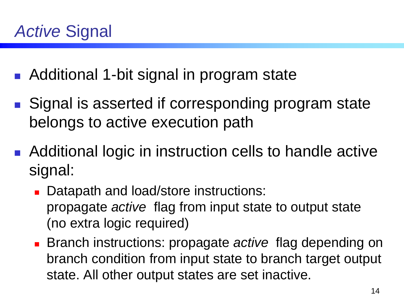- Additional 1-bit signal in program state
- Signal is asserted if corresponding program state belongs to active execution path
- Additional logic in instruction cells to handle active signal:
	- Datapath and load/store instructions: propagate *active* flag from input state to output state (no extra logic required)
	- Branch instructions: propagate *active* flag depending on branch condition from input state to branch target output state. All other output states are set inactive.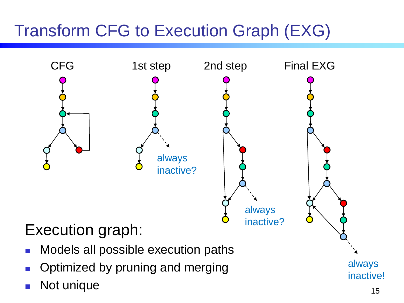# Transform CFG to Execution Graph (EXG)

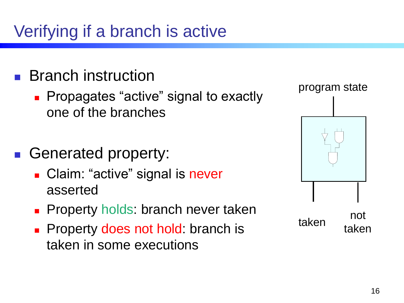# Verifying if a branch is active

### Branch instruction

**Propagates "active" signal to exactly Propagates "active" signal to exactly** one of the branches

#### Generated property:

- **Claim: "active" signal is never** asserted
- **Property holds: branch never taken**
- **Property does not hold: branch is** taken in some executions

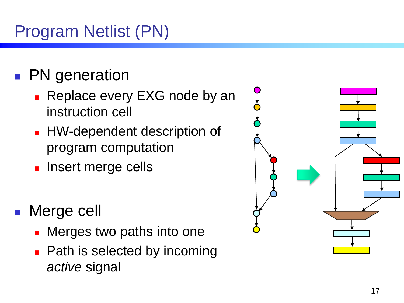# Program Netlist (PN)

## PN generation

- Replace every EXG node by an instruction cell
- **HW-dependent description of** program computation
- **Insert merge cells**
- Merge cell
	- Merges two paths into one
	- Path is selected by incoming *active* signal

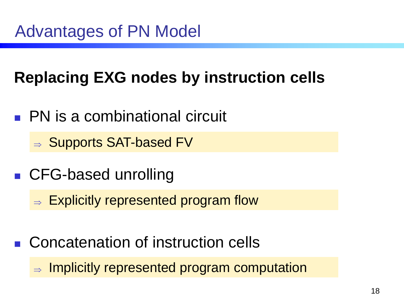## **Replacing EXG nodes by instruction cells**

**PN** is a combinational circuit

 $\Rightarrow$  Supports SAT-based FV

- CFG-based unrolling
	- $\Rightarrow$  Explicitly represented program flow
- Concatenation of instruction cells

 $\Rightarrow$  Implicitly represented program computation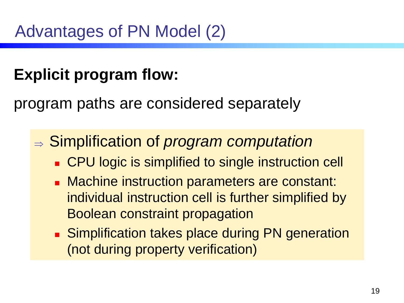## **Explicit program flow:**

program paths are considered separately

#### Simplification of *program computation*

- **CPU logic is simplified to single instruction cell**
- **Machine instruction parameters are constant:** individual instruction cell is further simplified by Boolean constraint propagation
- **Simplification takes place during PN generation** (not during property verification)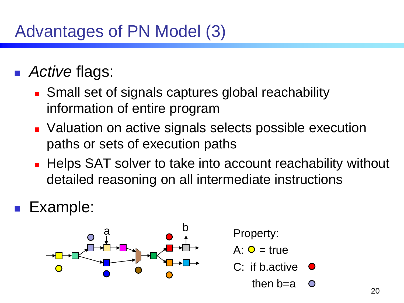## Advantages of PN Model (3)

### *Active* flags:

- **Small set of signals captures global reachability** information of entire program
- **Naluation on active signals selects possible execution** paths or sets of execution paths
- **Helps SAT solver to take into account reachability without** detailed reasoning on all intermediate instructions
- Example:



- Property:
- $A: O = true$
- $C:$  if b. active  $\bullet$ 
	- then  $b=a$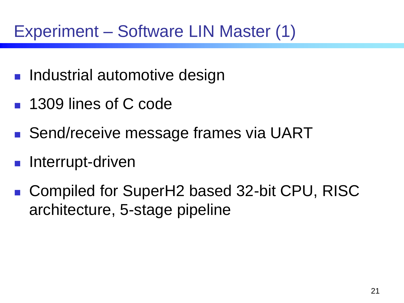## Experiment – Software LIN Master (1)

- **Industrial automotive design**
- 1309 lines of C code
- Send/receive message frames via UART
- **Interrupt-driven**
- Compiled for SuperH2 based 32-bit CPU, RISC architecture, 5-stage pipeline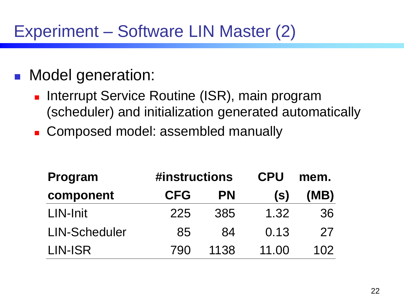## Experiment – Software LIN Master (2)

#### **Model generation:**

- Interrupt Service Routine (ISR), main program (scheduler) and initialization generated automatically
- **Composed model: assembled manually**

| Program              | #instructions |           | <b>CPU</b> | mem. |
|----------------------|---------------|-----------|------------|------|
| component            | <b>CFG</b>    | <b>PN</b> | (S)        | (MB) |
| LIN-Init             | 225           | 385       | 1.32       | 36   |
| <b>LIN-Scheduler</b> | 85            | 84        | 0.13       | 27   |
| LIN-ISR              | 790           | 1138      | 11.00      | 102  |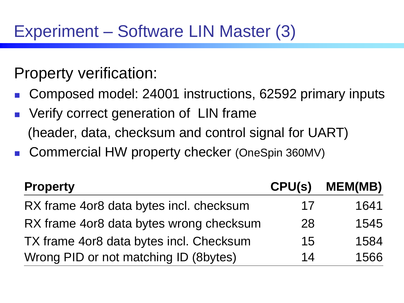Property verification:

- Composed model: 24001 instructions, 62592 primary inputs
- Verify correct generation of LIN frame (header, data, checksum and control signal for UART)
- Commercial HW property checker (OneSpin 360MV)

| <b>Property</b>                         | CPU(s) | <b>MEM(MB)</b> |
|-----------------------------------------|--------|----------------|
| RX frame 4or8 data bytes incl. checksum | 17     | 1641           |
| RX frame 4or8 data bytes wrong checksum | 28     | 1545           |
| TX frame 4or8 data bytes incl. Checksum | 15     | 1584           |
| Wrong PID or not matching ID (8bytes)   | 14     | 1566           |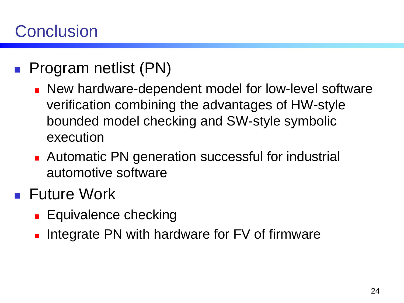## **Conclusion**

- **Program netlist (PN)** 
	- **New hardware-dependent model for low-level software** verification combining the advantages of HW-style bounded model checking and SW-style symbolic execution
	- **Automatic PN generation successful for industrial** automotive software
- **Future Work** 
	- **Equivalence checking**
	- **Integrate PN with hardware for FV of firmware**